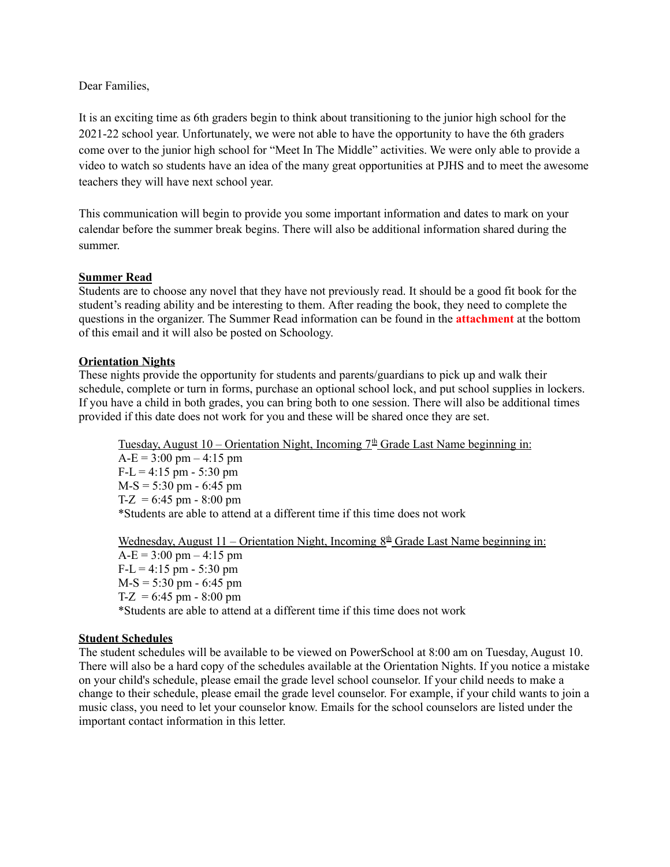Dear Families,

It is an exciting time as 6th graders begin to think about transitioning to the junior high school for the 2021-22 school year. Unfortunately, we were not able to have the opportunity to have the 6th graders come over to the junior high school for "Meet In The Middle" activities. We were only able to provide a video to watch so students have an idea of the many great opportunities at PJHS and to meet the awesome teachers they will have next school year.

This communication will begin to provide you some important information and dates to mark on your calendar before the summer break begins. There will also be additional information shared during the summer.

#### **Summer Read**

Students are to choose any novel that they have not previously read. It should be a good fit book for the student's reading ability and be interesting to them. After reading the book, they need to complete the questions in the organizer. The Summer Read information can be found in the **attachment** at the bottom of this email and it will also be posted on Schoology.

#### **Orientation Nights**

These nights provide the opportunity for students and parents/guardians to pick up and walk their schedule, complete or turn in forms, purchase an optional school lock, and put school supplies in lockers. If you have a child in both grades, you can bring both to one session. There will also be additional times provided if this date does not work for you and these will be shared once they are set.

Tuesday, August  $10$  – Orientation Night, Incoming  $7<sup>th</sup>$  Grade Last Name beginning in:

 $A-E = 3:00 \text{ pm} - 4:15 \text{ pm}$  $F-L = 4:15 \text{ pm} - 5:30 \text{ pm}$  $M-S = 5:30 \text{ pm} - 6:45 \text{ pm}$ T-Z =  $6:45$  pm -  $8:00$  pm \*Students are able to attend at a different time if this time does not work

Wednesday, August 11 – Orientation Night, Incoming  $8<sup>th</sup>$  Grade Last Name beginning in:

 $A-E = 3:00 \text{ pm} - 4:15 \text{ pm}$  $F-L = 4:15 \text{ pm} - 5:30 \text{ pm}$  $M-S = 5:30 \text{ pm} - 6:45 \text{ pm}$ T-Z =  $6:45$  pm -  $8:00$  pm \*Students are able to attend at a different time if this time does not work

#### **Student Schedules**

The student schedules will be available to be viewed on PowerSchool at 8:00 am on Tuesday, August 10. There will also be a hard copy of the schedules available at the Orientation Nights. If you notice a mistake on your child's schedule, please email the grade level school counselor. If your child needs to make a change to their schedule, please email the grade level counselor. For example, if your child wants to join a music class, you need to let your counselor know. Emails for the school counselors are listed under the important contact information in this letter.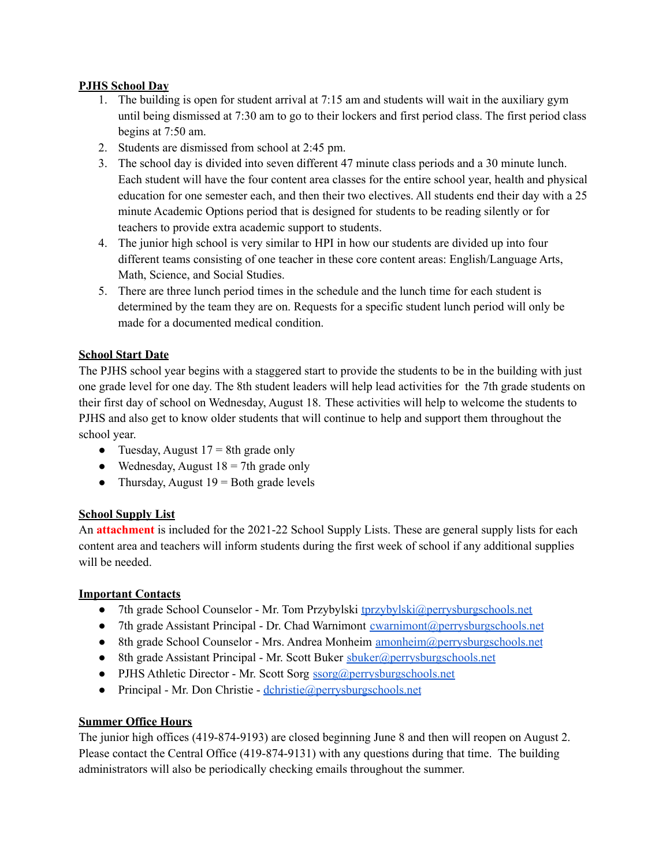### **PJHS School Day**

- 1. The building is open for student arrival at 7:15 am and students will wait in the auxiliary gym until being dismissed at 7:30 am to go to their lockers and first period class. The first period class begins at 7:50 am.
- 2. Students are dismissed from school at 2:45 pm.
- 3. The school day is divided into seven different 47 minute class periods and a 30 minute lunch. Each student will have the four content area classes for the entire school year, health and physical education for one semester each, and then their two electives. All students end their day with a 25 minute Academic Options period that is designed for students to be reading silently or for teachers to provide extra academic support to students.
- 4. The junior high school is very similar to HPI in how our students are divided up into four different teams consisting of one teacher in these core content areas: English/Language Arts, Math, Science, and Social Studies.
- 5. There are three lunch period times in the schedule and the lunch time for each student is determined by the team they are on. Requests for a specific student lunch period will only be made for a documented medical condition.

# **School Start Date**

The PJHS school year begins with a staggered start to provide the students to be in the building with just one grade level for one day. The 8th student leaders will help lead activities for the 7th grade students on their first day of school on Wednesday, August 18. These activities will help to welcome the students to PJHS and also get to know older students that will continue to help and support them throughout the school year.

- Tuesday, August  $17 = 8$ th grade only
- Wednesday, August  $18 = 7$ th grade only
- Thursday, August  $19 =$  Both grade levels

# **School Supply List**

An **attachment** is included for the 2021-22 School Supply Lists. These are general supply lists for each content area and teachers will inform students during the first week of school if any additional supplies will be needed

# **Important Contacts**

- 7th grade School Counselor Mr. Tom Przybylski [tprzybylski@perrysburgschools.net](mailto:tprzybylski@perrysburgschools.net)
- 7th grade Assistant Principal Dr. Chad Warnimont [cwarnimont@perrysburgschools.net](mailto:cwarnimont@perrysburgschools.net)
- 8th grade School Counselor Mrs. Andrea Monheim [amonheim@perrysburgschools.net](mailto:amonheim@perrysburgschools.net)
- 8th grade Assistant Principal Mr. Scott Buker [sbuker@perrysburgschools.net](mailto:sbuker@perrysburgschools.net)
- PJHS Athletic Director Mr. Scott Sorg [ssorg@perrysburgschools.net](mailto:ssorg@perrysburgschools.net)
- Principal Mr. Don Christie [dchristie@perrysburgschools.net](mailto:dchristie@perrysburgschools.net)

# **Summer Office Hours**

The junior high offices (419-874-9193) are closed beginning June 8 and then will reopen on August 2. Please contact the Central Office (419-874-9131) with any questions during that time. The building administrators will also be periodically checking emails throughout the summer.